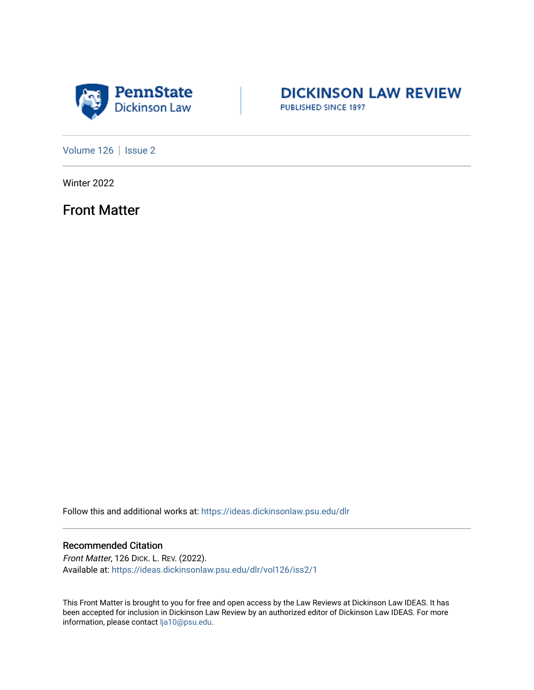



[Volume 126](https://ideas.dickinsonlaw.psu.edu/dlr/vol126) | [Issue 2](https://ideas.dickinsonlaw.psu.edu/dlr/vol126/iss2)

Winter 2022

Front Matter

Follow this and additional works at: [https://ideas.dickinsonlaw.psu.edu/dlr](https://ideas.dickinsonlaw.psu.edu/dlr?utm_source=ideas.dickinsonlaw.psu.edu%2Fdlr%2Fvol126%2Fiss2%2F1&utm_medium=PDF&utm_campaign=PDFCoverPages) 

## Recommended Citation

Front Matter, 126 DICK. L. REV. (2022). Available at: [https://ideas.dickinsonlaw.psu.edu/dlr/vol126/iss2/1](https://ideas.dickinsonlaw.psu.edu/dlr/vol126/iss2/1?utm_source=ideas.dickinsonlaw.psu.edu%2Fdlr%2Fvol126%2Fiss2%2F1&utm_medium=PDF&utm_campaign=PDFCoverPages)

This Front Matter is brought to you for free and open access by the Law Reviews at Dickinson Law IDEAS. It has been accepted for inclusion in Dickinson Law Review by an authorized editor of Dickinson Law IDEAS. For more information, please contact [lja10@psu.edu.](mailto:lja10@psu.edu)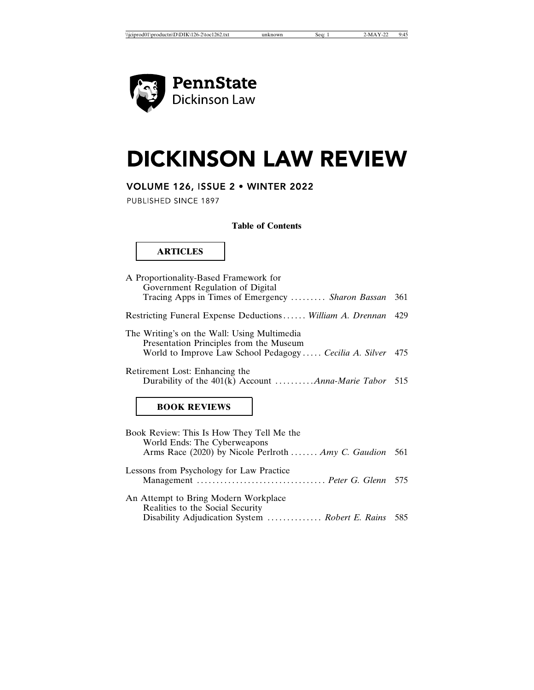

# **DICKINSON LAW REVIEW**

# VOLUME 126, ISSUE 2 . WINTER 2022

PUBLISHED SINCE 1897

## **Table of Contents**

# **ARTICLES**

| Presentation Principles from the Museum<br>World to Improve Law School Pedagogy  Cecilia A. Silver 475 |  |
|--------------------------------------------------------------------------------------------------------|--|
| Retirement Lost: Enhancing the<br>Durability of the $401(k)$ Account <i>Anna-Marie Tabor</i> 515       |  |
| <b>BOOK REVIEWS</b>                                                                                    |  |

| Book Review: This Is How They Tell Me the               |  |
|---------------------------------------------------------|--|
| World Ends: The Cyberweapons                            |  |
| Arms Race (2020) by Nicole Perlroth  Amy C. Gaudion 561 |  |
| Lessons from Psychology for Law Practice                |  |
| An Attempt to Bring Modern Workplace                    |  |
| Realities to the Social Security                        |  |
| Disability Adjudication System  Robert E. Rains 585     |  |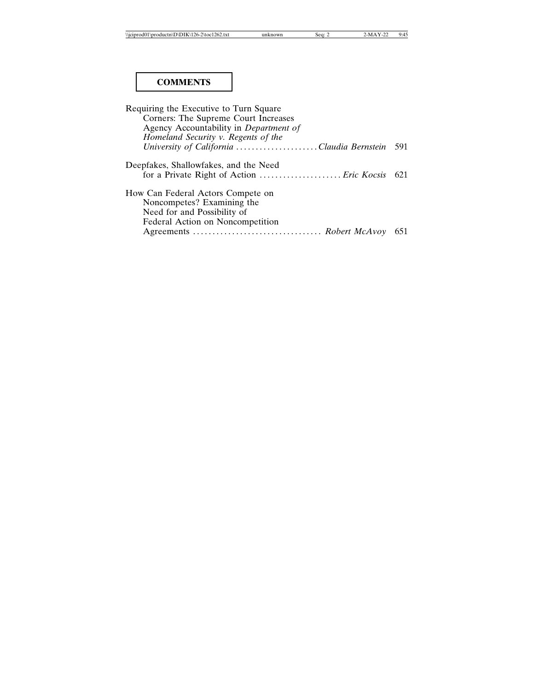# **COMMENTS**

| Requiring the Executive to Turn Square         |  |
|------------------------------------------------|--|
| Corners: The Supreme Court Increases           |  |
| Agency Accountability in Department of         |  |
| Homeland Security v. Regents of the            |  |
| University of California Claudia Bernstein 591 |  |
| Deepfakes, Shallowfakes, and the Need          |  |
| for a Private Right of Action  Eric Kocsis 621 |  |
| How Can Federal Actors Compete on              |  |
| Noncompetes? Examining the                     |  |
| Need for and Possibility of                    |  |
| Federal Action on Noncompetition               |  |
|                                                |  |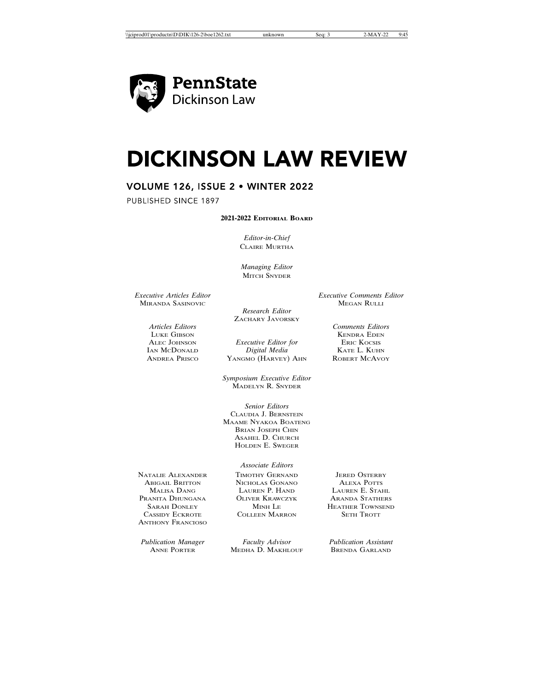

# **DICKINSON LAW REVIEW**

# **VOLUME 126, ISSUE 2 . WINTER 2022**

PUBLISHED SINCE 1897

## **2021-2022 EDITORIAL BOARD**

*Editor-in-Chief* CLAIRE MURTHA

*Managing Editor* **MITCH SNYDER** 

*Executive Articles Editor Executive Comments Editor* MIRANDA SASINOVIC

*Research Editor* ZACHARY JAVORSKY

ALEC JOHNSON *Executive Editor for*<br> **EXECUTE:** *Executive Editor for*<br> *Executive Editor for* IAN MCDONALD *Digital Media* KATE L. KUHN YANGMO (HARVEY) AHN

> *Symposium Executive Editor* MADELYN R. SNYDER

> *Senior Editors* CLAUDIA J. BERNSTEIN MAAME NYAKOA BOATENG BRIAN JOSEPH CHIN ASAHEL D. CHURCH HOLDEN E. SWEGER

NATALIE ALEXANDER TIMOTHY GERNAND JERED OSTERBY<br>ABIGAIL BRITTON NICHOLAS GONANO ALEXA POTTS PRANITA DHUNGANA OLIVER KRAWC<br>SARAH DONLEY MINH LE ANTHONY FRANCIOSO

ABIGAIL BRITTON NICHOLAS GONANO ALEXA POTTS<br>MALISA DANG LAUREN P. HAND LAUREN E. STAHL **COLLEEN MARRON** 

*Associate Editors*

*Publication Manager Faculty Advisor Publication Assistant* MEDHA D. MAKHLOUF

MALISA DANG LAUREN P. HAND LAUREN E. STAHL SARAH DONLEY MINH LE HEATHER TOWNSEND<br>CASSIDY ECKROTE COLLEEN MARRON SETH TROTT

*Articles Editors Comments Editors* LUKE GIBSON<br>
ALEC JOHNSON *Executive Editor for* ERIC KOCSIS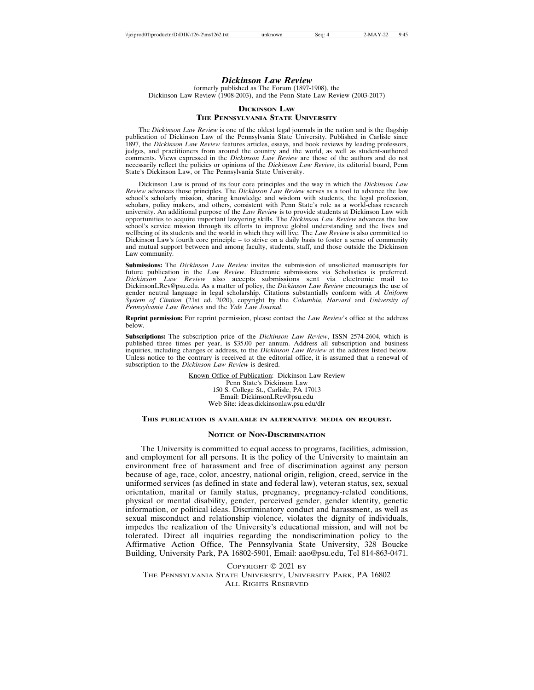## *Dickinson Law Review*

formerly published as The Forum (1897-1908), the Dickinson Law Review (1908-2003), and the Penn State Law Review (2003-2017)

## **DICKINSON LAW THE PENNSYLVANIA STATE UNIVERSITY**

The *Dickinson Law Review* is one of the oldest legal journals in the nation and is the flagship publication of Dickinson Law of the Pennsylvania State University. Published in Carlisle since 1897, the *Dickinson Law Review* features articles, essays, and book reviews by leading professors, judges, and practitioners from around the country and the world, as well as student-authored comments. Views expressed in the *Dickinson Law Review* are those of the authors and do not necessarily reflect the policies or opinions of the *Dickinson Law Review*, its editorial board, Penn State's Dickinson Law, or The Pennsylvania State University.

Dickinson Law is proud of its four core principles and the way in which the *Dickinson Law Review* advances those principles. The *Dickinson Law Review* serves as a tool to advance the law school's scholarly mission, sharing knowledge and wisdom with students, the legal profession, scholars, policy makers, and others, consistent with Penn State's role as a world-class research university. An additional purpose of the *Law Review* is to provide students at Dickinson Law with opportunities to acquire important lawyering skills. The *Dickinson Law Review* advances the law school's service mission through its efforts to improve global understanding and the lives and wellbeing of its students and the world in which they will live. The *Law Review* is also committed to Dickinson Law's fourth core principle – to strive on a daily basis to foster a sense of community and mutual support between and among faculty, students, staff, and those outside the Dickinson Law community.

**Submissions:** The *Dickinson Law Review* invites the submission of unsolicited manuscripts for future publication in the *Law Review*. Electronic submissions via Scholastica is preferred. *Dickinson Law Review* also accepts submissions sent via electronic mail to DickinsonLRev@psu.edu. As a matter of policy, the *Dickinson Law Review* encourages the use of gender neutral language in legal scholarship. Citations substantially conform with *A Uniform System of Citation* (21st ed. 2020), copyright by the *Columbia*, *Harvard* and *University of Pennsylvania Law Reviews* and the *Yale Law Journal*.

**Reprint permission:** For reprint permission, please contact the *Law Review*'s office at the address below.

**Subscriptions:** The subscription price of the *Dickinson Law Review*, ISSN 2574-2604, which is published three times per year, is \$35.00 per annum. Address all subscription and business inquiries, including changes of address, to the *Dickinson Law Review* at the address listed below. Unless notice to the contrary is received at the editorial office, it is assumed that a renewal of subscription to the *Dickinson Law Review* is desired.

> Known Office of Publication: Dickinson Law Review Penn State's Dickinson Law 150 S. College St., Carlisle, PA 17013 Email: DickinsonLRev@psu.edu Web Site: ideas.dickinsonlaw.psu.edu/dlr

### **THIS PUBLICATION IS AVAILABLE IN ALTERNATIVE MEDIA ON REQUEST.**

## **NOTICE OF NON-DISCRIMINATION**

The University is committed to equal access to programs, facilities, admission, and employment for all persons. It is the policy of the University to maintain an environment free of harassment and free of discrimination against any person because of age, race, color, ancestry, national origin, religion, creed, service in the uniformed services (as defined in state and federal law), veteran status, sex, sexual orientation, marital or family status, pregnancy, pregnancy-related conditions, physical or mental disability, gender, perceived gender, gender identity, genetic information, or political ideas. Discriminatory conduct and harassment, as well as sexual misconduct and relationship violence, violates the dignity of individuals, impedes the realization of the University's educational mission, and will not be tolerated. Direct all inquiries regarding the nondiscrimination policy to the Affirmative Action Office, The Pennsylvania State University, 328 Boucke Building, University Park, PA 16802-5901, Email: aao@psu.edu, Tel 814-863-0471.

COPYRIGHT © 2021 BY THE PENNSYLVANIA STATE UNIVERSITY, UNIVERSITY PARK, PA 16802 ALL RIGHTS RESERVED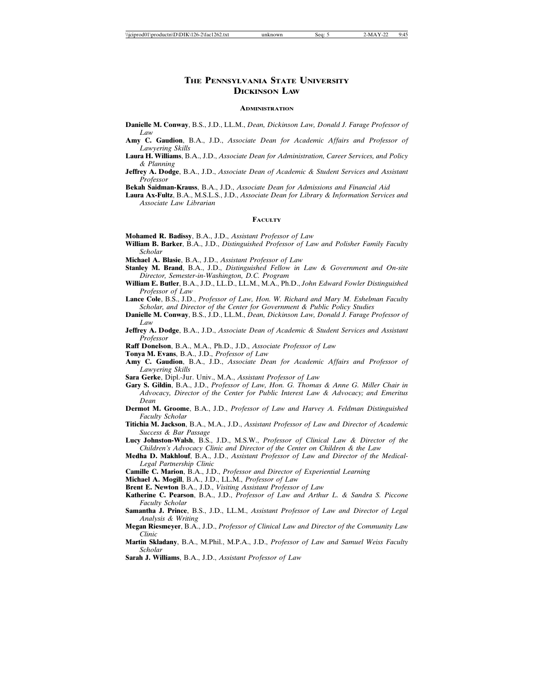## **THE PENNSYLVANIA STATE UNIVERSITY DICKINSON LAW**

#### **ADMINISTRATION**

- **Danielle M. Conway**, B.S., J.D., LL.M., *Dean, Dickinson Law, Donald J. Farage Professor of Law*
- **Amy C. Gaudion**, B.A., J.D., *Associate Dean for Academic Affairs and Professor of Lawyering Skills*
- **Laura H. Williams**, B.A., J.D., *Associate Dean for Administration, Career Services, and Policy & Planning*
- **Jeffrey A. Dodge**, B.A., J.D., *Associate Dean of Academic & Student Services and Assistant Professor*

**Bekah Saidman-Krauss**, B.A., J.D., *Associate Dean for Admissions and Financial Aid*

**Laura Ax-Fultz**, B.A., M.S.L.S., J.D., *Associate Dean for Library & Information Services and Associate Law Librarian*

#### **FACULTY**

- **Mohamed R. Badissy**, B.A., J.D., *Assistant Professor of Law*
- **William B. Barker**, B.A., J.D., *Distinguished Professor of Law and Polisher Family Faculty Scholar*
- **Michael A. Blasie**, B.A., J.D., *Assistant Professor of Law*
- **Stanley M. Brand**, B.A., J.D., *Distinguished Fellow in Law & Government and On-site Director, Semester-in-Washington, D.C. Program*
- **William E. Butler**, B.A., J.D., LL.D., LL.M., M.A., Ph.D., *John Edward Fowler Distinguished Professor of Law*
- **Lance Cole**, B.S., J.D., *Professor of Law, Hon. W. Richard and Mary M. Eshelman Faculty Scholar, and Director of the Center for Government & Public Policy Studies*
- **Danielle M. Conway**, B.S., J.D., LL.M., *Dean, Dickinson Law, Donald J. Farage Professor of Law*
- **Jeffrey A. Dodge**, B.A., J.D., *Associate Dean of Academic & Student Services and Assistant Professor*
- **Raff Donelson**, B.A., M.A., Ph.D., J.D., *Associate Professor of Law*
- **Tonya M. Evans**, B.A., J.D., *Professor of Law*
- **Amy C. Gaudion**, B.A., J.D., *Associate Dean for Academic Affairs and Professor of Lawyering Skills*
- **Sara Gerke**, Dipl.-Jur. Univ., M.A., *Assistant Professor of Law*
- **Gary S. Gildin**, B.A., J.D., *Professor of Law, Hon. G. Thomas & Anne G. Miller Chair in Advocacy, Director of the Center for Public Interest Law & Advocacy; and Emeritus Dean*
- **Dermot M. Groome**, B.A., J.D., *Professor of Law and Harvey A. Feldman Distinguished Faculty Scholar*
- **Titichia M. Jackson**, B.A., M.A., J.D., *Assistant Professor of Law and Director of Academic Success & Bar Passage*
- **Lucy Johnston-Walsh**, B.S., J.D., M.S.W., *Professor of Clinical Law & Director of the Children's Advocacy Clinic and Director of the Center on Children & the Law*
- **Medha D. Makhlouf**, B.A., J.D., *Assistant Professor of Law and Director of the Medical-Legal Partnership Clinic*
- **Camille C. Marion**, B.A., J.D., *Professor and Director of Experiential Learning*
- **Michael A. Mogill**, B.A., J.D., LL.M., *Professor of Law*
- **Brent E. Newton** B.A., J.D., *Visiting Assistant Professor of Law*
- **Katherine C. Pearson**, B.A., J.D., *Professor of Law and Arthur L. & Sandra S. Piccone Faculty Scholar*
- **Samantha J. Prince**, B.S., J.D., LL.M., *Assistant Professor of Law and Director of Legal Analysis & Writing*
- **Megan Riesmeyer**, B.A., J.D., *Professor of Clinical Law and Director of the Community Law Clinic*
- **Martin Skladany**, B.A., M.Phil., M.P.A., J.D., *Professor of Law and Samuel Weiss Faculty Scholar*
- **Sarah J. Williams**, B.A., J.D., *Assistant Professor of Law*